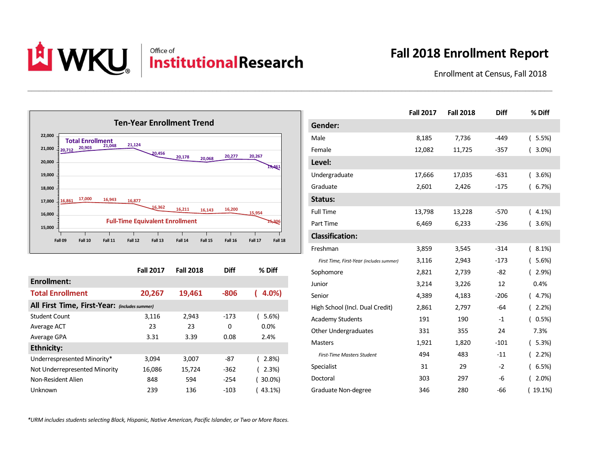

\_\_\_\_\_\_\_\_\_\_\_\_\_\_\_\_\_\_\_\_\_\_\_\_\_\_\_\_\_\_\_\_\_\_\_\_\_\_\_\_\_\_\_\_\_\_\_\_\_\_\_\_\_\_\_\_\_\_\_\_\_\_\_\_\_\_\_\_\_\_\_\_\_\_\_\_\_\_\_\_\_\_\_\_\_\_\_\_\_\_\_\_\_\_\_\_\_\_\_\_\_\_\_\_\_\_\_\_\_\_\_\_\_\_\_\_\_\_\_\_\_\_\_\_\_\_\_\_\_\_\_\_\_\_\_\_

## **Fall 2018 Enrollment Report**

Enrollment at Census, Fall 2018



|                                               | <b>Fall 2017</b> | <b>Fall 2018</b> | <b>Diff</b> | % Diff     |  |
|-----------------------------------------------|------------------|------------------|-------------|------------|--|
| Enrollment:                                   |                  |                  |             |            |  |
| <b>Total Enrollment</b>                       | 20,267           | 19,461           | $-806$      | 4.0%)      |  |
| All First Time, First-Year: (includes summer) |                  |                  |             |            |  |
| <b>Student Count</b>                          | 3,116            | 2,943            | $-173$      | 5.6%       |  |
| Average ACT                                   | 23               | 23               | 0           | 0.0%       |  |
| Average GPA                                   | 3.31             | 3.39             | 0.08        | 2.4%       |  |
| <b>Ethnicity:</b>                             |                  |                  |             |            |  |
| Underrespresented Minority*                   | 3,094            | 3,007            | -87         | 2.8%       |  |
| Not Underrepresented Minority                 | 16,086           | 15,724           | $-362$      | 2.3%       |  |
| Non-Resident Alien                            | 848              | 594              | $-254$      | $(30.0\%)$ |  |
| Unknown                                       | 239              | 136              | -103        | $(43.1\%)$ |  |

|                                          | <b>Fall 2017</b> | <b>Fall 2018</b> | <b>Diff</b> | % Diff                   |
|------------------------------------------|------------------|------------------|-------------|--------------------------|
| Gender:                                  |                  |                  |             |                          |
| Male                                     | 8,185            | 7,736            | $-449$      | 5.5%<br>$\overline{(\ }$ |
| Female                                   | 12,082           | 11,725           | $-357$      | 3.0%                     |
| Level:                                   |                  |                  |             |                          |
| Undergraduate                            | 17,666           | 17,035           | $-631$      | 3.6%                     |
| Graduate                                 | 2,601            | 2,426            | $-175$      | 6.7%                     |
| Status:                                  |                  |                  |             |                          |
| <b>Full Time</b>                         | 13,798           | 13,228           | $-570$      | 4.1%<br>$\overline{ }$   |
| Part Time                                | 6,469            | 6,233            | $-236$      | 3.6%                     |
| <b>Classification:</b>                   |                  |                  |             |                          |
| Freshman                                 | 3,859            | 3,545            | $-314$      | 8.1%                     |
| First Time, First-Year (includes summer) | 3,116            | 2,943            | $-173$      | 5.6%                     |
| Sophomore                                | 2,821            | 2,739            | $-82$       | 2.9%                     |
| Junior                                   | 3,214            | 3,226            | 12          | 0.4%                     |
| Senior                                   | 4,389            | 4,183            | $-206$      | $(4.7\%)$                |
| High School (Incl. Dual Credit)          | 2,861            | 2,797            | $-64$       | 2.2%                     |
| <b>Academy Students</b>                  | 191              | 190              | $-1$        | 0.5%                     |
| Other Undergraduates                     | 331              | 355              | 24          | 7.3%                     |
| <b>Masters</b>                           | 1,921            | 1,820            | $-101$      | (5.3%)                   |
| <b>First-Time Masters Student</b>        | 494              | 483              | $-11$       | 2.2%                     |
| Specialist                               | 31               | 29               | $-2$        | 6.5%                     |
| Doctoral                                 | 303              | 297              | -6          | 2.0%                     |
| Graduate Non-degree                      | 346              | 280              | $-66$       | 19.1%)                   |

*\*URM includes students selecting Black, Hispanic, Native American, Pacific Islander, or Two or More Races.*